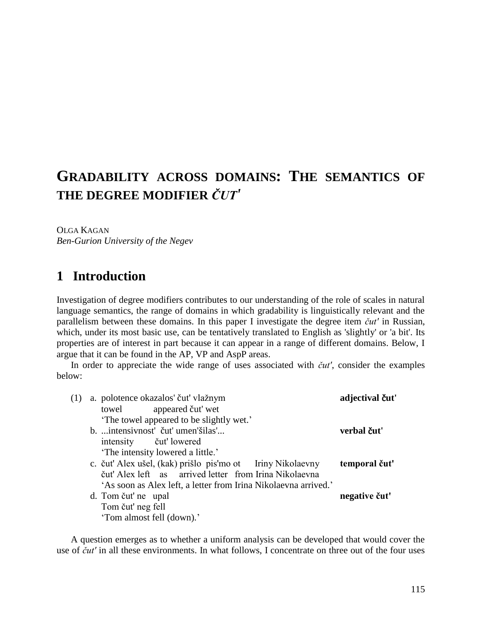# **GRADABILITY ACROSS DOMAINS: THE SEMANTICS OF THE DEGREE MODIFIER** *ČUT'*

OLGA KAGAN *Ben-Gurion University of the Negev*

## **1** Introduction

Investigation of degree modifiers contributes to our understanding of the role of scales in natural language semantics, the range of domains in which gradability is linguistically relevant and the parallelism between these domains. In this paper I investigate the degree item *čut'* in Russian, which, under its most basic use, can be tentatively translated to English as 'slightly' or 'a bit'. Its properties are of interest in part because it can appear in a range of different domains. Below, I argue that it can be found in the AP, VP and AspP areas.

In order to appreciate the wide range of uses associated with *čut'*, consider the examples below:

| (1) | a. polotence okazalos' čuť vlažnym                              | adjectival čut' |
|-----|-----------------------------------------------------------------|-----------------|
|     | appeared čut' wet<br>towel                                      |                 |
|     | The towel appeared to be slightly wet.'                         |                 |
|     | b.  intensivnost' čut' umen'šilas'                              | verbal čut'     |
|     | intensity <i>čut'</i> lowered                                   |                 |
|     | 'The intensity lowered a little.'                               |                 |
|     | c. čuť Alex ušel, (kak) prišlo pis'mo ot Iriny Nikolaevny       | temporal čut'   |
|     | čuť Alex left as arrived letter from Irina Nikolaevna           |                 |
|     | 'As soon as Alex left, a letter from Irina Nikolaevna arrived.' |                 |
|     | d. Tom čut' ne upal                                             | negative čut'   |
|     | Tom čut' neg fell                                               |                 |
|     | 'Tom almost fell (down).'                                       |                 |

A question emerges as to whether a uniform analysis can be developed that would cover the use of *čut'* in all these environments. In what follows, I concentrate on three out of the four uses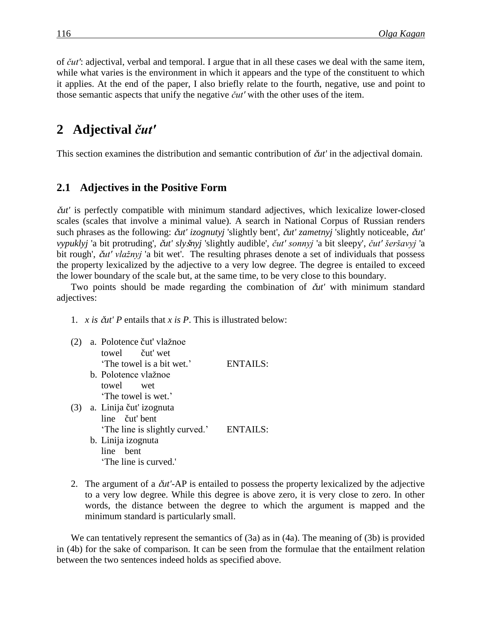of *čut'*: adjectival, verbal and temporal. I argue that in all these cases we deal with the same item, while what varies is the environment in which it appears and the type of the constituent to which it applies. At the end of the paper, I also briefly relate to the fourth, negative, use and point to those semantic aspects that unify the negative *čut'* with the other uses of the item.

## **2**xx**Adjectival** *čut'*

This section examines the distribution and semantic contribution of č*ut'* in the adjectival domain.

### **2.1** Adjectives in the Positive Form

č*ut'* is perfectly compatible with minimum standard adjectives, which lexicalize lower-closed scales (scales that involve a minimal value). A search in National Corpus of Russian renders such phrases as the following: č*ut' izognutyj* 'slightly bent', č*ut' zametnyj* 'slightly noticeable, č*ut' vypuklyj* 'a bit protruding', č*ut' sly*š*nyj* 'slightly audible', *čut' sonnyj* 'a bit sleepy', *čut' šeršavyj* 'a bit rough', č*ut' vlažnyj* 'a bit wet'. The resulting phrases denote a set of individuals that possess the property lexicalized by the adjective to a very low degree. The degree is entailed to exceed the lower boundary of the scale but, at the same time, to be very close to this boundary.

Two points should be made regarding the combination of č*ut'* with minimum standard adjectives:

1. *x is* č*ut' P* entails that *x is P*. This is illustrated below:

| a. Polotence čuť vlažnoe      |                 |
|-------------------------------|-----------------|
| towel čut' wet                |                 |
| 'The towel is a bit wet.'     | ENTAILS:        |
| b. Polotence vlažnoe          |                 |
| towel wet                     |                 |
| 'The towel is wet.'           |                 |
| (3) a. Linija čut' izognuta   |                 |
| line čut' bent                |                 |
| The line is slightly curved.' | <b>ENTAILS:</b> |
| b. Linija izognuta            |                 |
| – bent<br>line.               |                 |

'The line is curved.'

2. The argument of a č*ut'*-AP is entailed to possess the property lexicalized by the adjective to a very low degree. While this degree is above zero, it is very close to zero. In other words, the distance between the degree to which the argument is mapped and the minimum standard is particularly small.

We can tentatively represent the semantics of (3a) as in (4a). The meaning of (3b) is provided in (4b) for the sake of comparison. It can be seen from the formulae that the entailment relation between the two sentences indeed holds as specified above.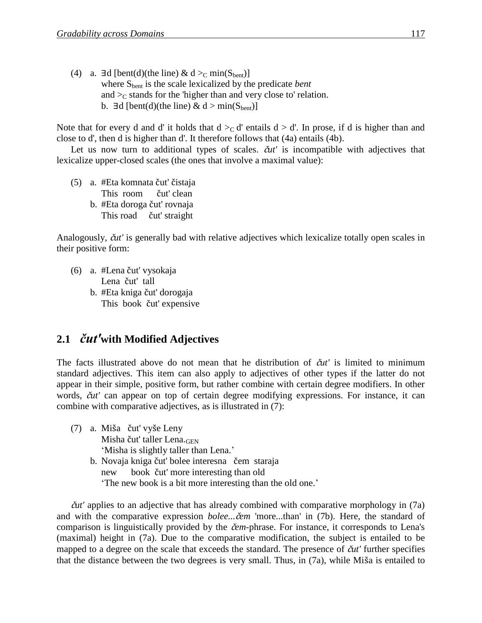(4) a. ∃d [bent(d)(the line) & d > c min(S<sub>bent</sub>)] where Sbent is the scale lexicalized by the predicate *bent* and  $\gtrsim$  stands for the 'higher than and very close to' relation. b. ∃d [bent(d)(the line) & d > min(S<sub>bent</sub>)]

Note that for every d and d' it holds that  $d >_C d'$  entails  $d > d'$ . In prose, if d is higher than and close to d', then d is higher than d'. It therefore follows that (4a) entails (4b).

Let us now turn to additional types of scales. č*ut'* is incompatible with adjectives that lexicalize upper-closed scales (the ones that involve a maximal value):

(5) a. #Eta komnata čut' čistaja This room čut' clean b. #Eta doroga čut' rovnaja This road čut' straight

Analogously, č*ut'* is generally bad with relative adjectives which lexicalize totally open scales in their positive form:

(6) a. #Lena čut' vysokaja Lena čut' tall b. #Eta kniga čut' dorogaja This book čut' expensive

### 2.1 *čut'*with Modified Adjectives

The facts illustrated above do not mean that he distribution of č*ut'* is limited to minimum standard adjectives. This item can also apply to adjectives of other types if the latter do not appear in their simple, positive form, but rather combine with certain degree modifiers. In other words, č*ut'* can appear on top of certain degree modifying expressions. For instance, it can combine with comparative adjectives, as is illustrated in (7):

- (7) a. Miša čut' vyše Leny Misha čut' taller Lena.GEN 'Misha is slightly taller than Lena.'
	- b. Novaja kniga čut' bolee interesna čem staraja new book čut' more interesting than old 'The new book is a bit more interesting than the old one.'

č*ut'* applies to an adjective that has already combined with comparative morphology in (7a) and with the comparative expression *bolee...*č*em* 'more...than' in (7b). Here, the standard of comparison is linguistically provided by the č*em*-phrase. For instance, it corresponds to Lena's (maximal) height in (7a). Due to the comparative modification, the subject is entailed to be mapped to a degree on the scale that exceeds the standard. The presence of č*ut'* further specifies that the distance between the two degrees is very small. Thus, in (7a), while Miša is entailed to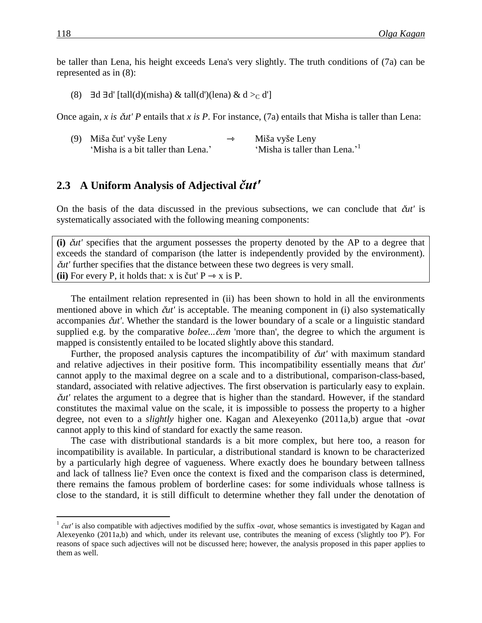be taller than Lena, his height exceeds Lena's very slightly. The truth conditions of (7a) can be represented as in (8):

(8)  $\exists d \exists d'$  [tall(d)(misha) & tall(d')(lena) & d > c d']

Once again, *x is* č*ut' P* entails that *x is P*. For instance, (7a) entails that Misha is taller than Lena:

| (9) Miša čut' vyše Leny            | $\rightarrow$ | Miša vyše Leny                            |
|------------------------------------|---------------|-------------------------------------------|
| 'Misha is a bit taller than Lena.' |               | 'Misha is taller than Lena.' <sup>1</sup> |

### **2.3**xx**A Uniform Analysis of Adjectival** *čut'*

On the basis of the data discussed in the previous subsections, we can conclude that č*ut'* is systematically associated with the following meaning components:

**(i)** č*ut'* specifies that the argument possesses the property denoted by the AP to a degree that exceeds the standard of comparison (the latter is independently provided by the environment). č*ut'* further specifies that the distance between these two degrees is very small. (ii) For every P, it holds that:  $x$  is čut'  $P \rightarrow x$  is P.

The entailment relation represented in (ii) has been shown to hold in all the environments mentioned above in which č*ut'* is acceptable. The meaning component in (i) also systematically accompanies č*ut'*. Whether the standard is the lower boundary of a scale or a linguistic standard supplied e.g. by the comparative *bolee...*č*em* 'more than', the degree to which the argument is mapped is consistently entailed to be located slightly above this standard.

Further, the proposed analysis captures the incompatibility of č*ut'* with maximum standard and relative adjectives in their positive form. This incompatibility essentially means that č*ut'* cannot apply to the maximal degree on a scale and to a distributional, comparison-class-based, standard, associated with relative adjectives. The first observation is particularly easy to explain. č*ut'* relates the argument to a degree that is higher than the standard. However, if the standard constitutes the maximal value on the scale, it is impossible to possess the property to a higher degree, not even to a *slightly* higher one. Kagan and Alexeyenko (2011a,b) argue that -*ovat* cannot apply to this kind of standard for exactly the same reason.

The case with distributional standards is a bit more complex, but here too, a reason for incompatibility is available. In particular, a distributional standard is known to be characterized by a particularly high degree of vagueness. Where exactly does he boundary between tallness and lack of tallness lie? Even once the context is fixed and the comparison class is determined, there remains the famous problem of borderline cases: for some individuals whose tallness is close to the standard, it is still difficult to determine whether they fall under the denotation of

 $\overline{a}$ 

<sup>&</sup>lt;sup>1</sup>  $\check{c}ut'$  is also compatible with adjectives modified by the suffix *-ovat*, whose semantics is investigated by Kagan and Alexeyenko (2011a,b) and which, under its relevant use, contributes the meaning of excess ('slightly too P'). For reasons of space such adjectives will not be discussed here; however, the analysis proposed in this paper applies to them as well.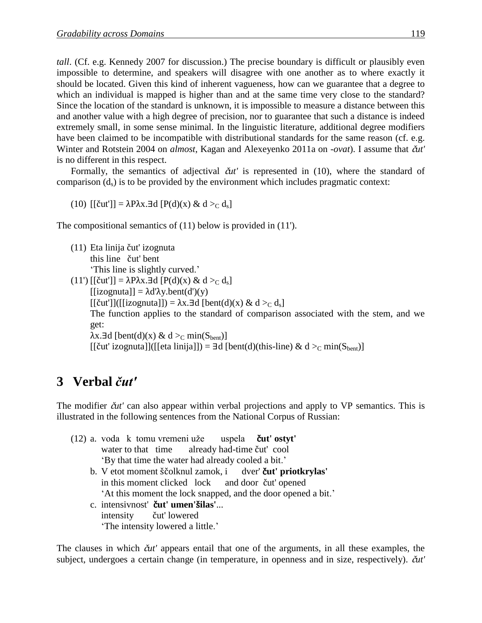*tall*. (Cf. e.g. Kennedy 2007 for discussion.) The precise boundary is difficult or plausibly even impossible to determine, and speakers will disagree with one another as to where exactly it should be located. Given this kind of inherent vagueness, how can we guarantee that a degree to which an individual is mapped is higher than and at the same time very close to the standard? Since the location of the standard is unknown, it is impossible to measure a distance between this and another value with a high degree of precision, nor to guarantee that such a distance is indeed extremely small, in some sense minimal. In the linguistic literature, additional degree modifiers have been claimed to be incompatible with distributional standards for the same reason (cf. e.g. Winter and Rotstein 2004 on *almost*, Kagan and Alexeyenko 2011a on -*ovat*). I assume that č*ut'* is no different in this respect.

Formally, the semantics of adjectival  $\tilde{\alpha}t'$  is represented in (10), where the standard of comparison  $(d_s)$  is to be provided by the environment which includes pragmatic context:

(10)  $[\tilde{c}ut'] = \lambda P \lambda x \cdot \exists d [P(d)(x) \& d >_C d_s]$ 

The compositional semantics of (11) below is provided in (11').

- (11) Eta linija čut' izognuta this line čut' bent 'This line is slightly curved.'
- (11') [[čut']] =  $\lambda$ P $\lambda$ x.∃d [P(d)(x) & d > c d<sub>s</sub>]  $[izognuta]] = \lambda d'\lambda y. bent(d')(y)$  $[[\text{čut}]]([[\text{izognuta}]]) = \lambda x. \exists d \, [\text{bent}(d)(x) \& d >_{C} d_s]$ The function applies to the standard of comparison associated with the stem, and we get:  $\lambda$ x.∃d [bent(d)(x) & d > min(S<sub>bent</sub>)]  $[\text{[Cut'izognuta]}]$ ( $[\text{[eta linijal]}) = \exists d [\text{bent}(d)(this-line) \& d >_{\text{C}} \min(S_{\text{bent}})]$

## **3**xx**Verbal** *čut'*

The modifier č*ut'* can also appear within verbal projections and apply to VP semantics. This is illustrated in the following sentences from the National Corpus of Russian:

|  | (12) a. voda k tomu vremeni uže uspela <b>čut' ostyt'</b>     |
|--|---------------------------------------------------------------|
|  | water to that time already had-time čut' cool                 |
|  | 'By that time the water had already cooled a bit.'            |
|  | b. V etot moment ščolknul zamok, i dver' čut' priotkrylas'    |
|  | in this moment clicked lock and door čut' opened              |
|  | 'At this moment the lock snapped, and the door opened a bit.' |
|  | c. intensivnost' čut' umen'šilas'                             |
|  | intensity <i>čut'</i> lowered                                 |
|  | 'The intensity lowered a little.'                             |

The clauses in which č*ut'* appears entail that one of the arguments, in all these examples, the subject, undergoes a certain change (in temperature, in openness and in size, respectively). č*ut'*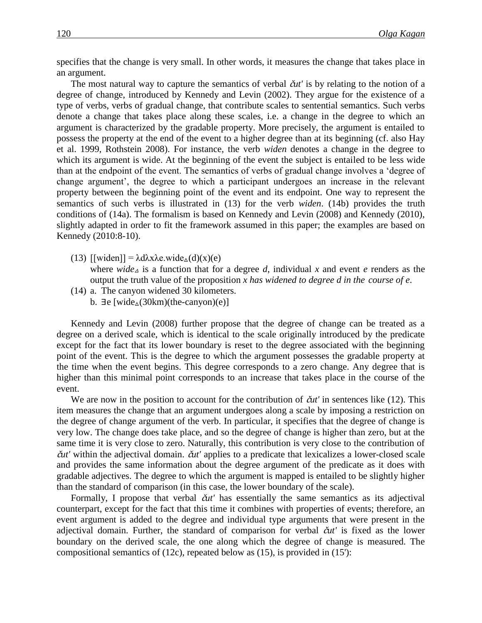specifies that the change is very small. In other words, it measures the change that takes place in an argument.

The most natural way to capture the semantics of verbal č*ut'* is by relating to the notion of a degree of change, introduced by Kennedy and Levin (2002). They argue for the existence of a type of verbs, verbs of gradual change, that contribute scales to sentential semantics. Such verbs denote a change that takes place along these scales, i.e. a change in the degree to which an argument is characterized by the gradable property. More precisely, the argument is entailed to possess the property at the end of the event to a higher degree than at its beginning (cf. also Hay et al. 1999, Rothstein 2008). For instance, the verb *widen* denotes a change in the degree to which its argument is wide. At the beginning of the event the subject is entailed to be less wide than at the endpoint of the event. The semantics of verbs of gradual change involves a 'degree of change argument', the degree to which a participant undergoes an increase in the relevant property between the beginning point of the event and its endpoint. One way to represent the semantics of such verbs is illustrated in (13) for the verb *widen*. (14b) provides the truth conditions of (14a). The formalism is based on Kennedy and Levin (2008) and Kennedy (2010), slightly adapted in order to fit the framework assumed in this paper; the examples are based on Kennedy (2010:8-10).

(13)  $[\text{width}] = \lambda \frac{d\lambda x}{\lambda e} \cdot \text{wide}_{\Delta}(d)(x)(e)$ 

where *wide*<sub>A</sub> is a function that for a degree *d*, individual *x* and event *e* renders as the output the truth value of the proposition *x has widened to degree d in the course of e*.

- (14) a. The canyon widened 30 kilometers.
	- b.  $\exists e$  [wide<sub> $\triangle$ </sub>(30km)(the-canyon)(e)]

Kennedy and Levin (2008) further propose that the degree of change can be treated as a degree on a derived scale, which is identical to the scale originally introduced by the predicate except for the fact that its lower boundary is reset to the degree associated with the beginning point of the event. This is the degree to which the argument possesses the gradable property at the time when the event begins. This degree corresponds to a zero change. Any degree that is higher than this minimal point corresponds to an increase that takes place in the course of the event.

We are now in the position to account for the contribution of  $\tilde{a}u'$  in sentences like (12). This item measures the change that an argument undergoes along a scale by imposing a restriction on the degree of change argument of the verb. In particular, it specifies that the degree of change is very low. The change does take place, and so the degree of change is higher than zero, but at the same time it is very close to zero. Naturally, this contribution is very close to the contribution of č*ut'* within the adjectival domain. č*ut'* applies to a predicate that lexicalizes a lower-closed scale and provides the same information about the degree argument of the predicate as it does with gradable adjectives. The degree to which the argument is mapped is entailed to be slightly higher than the standard of comparison (in this case, the lower boundary of the scale).

Formally, I propose that verbal č*ut'* has essentially the same semantics as its adjectival counterpart, except for the fact that this time it combines with properties of events; therefore, an event argument is added to the degree and individual type arguments that were present in the adjectival domain. Further, the standard of comparison for verbal č*ut'* is fixed as the lower boundary on the derived scale, the one along which the degree of change is measured. The compositional semantics of (12c), repeated below as (15), is provided in (15'):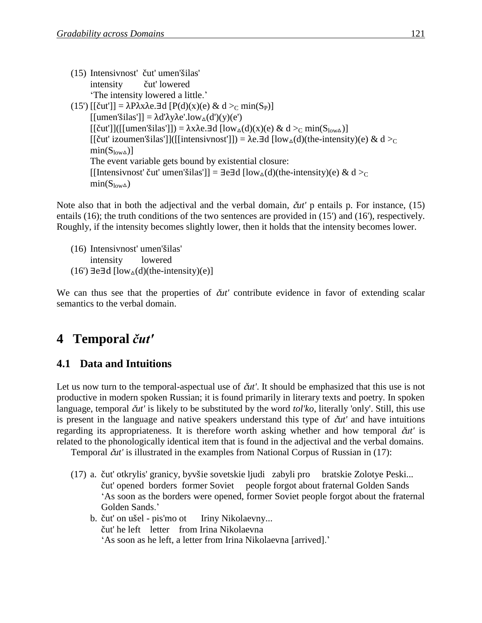| (15) Intensivnost' čut' umen'šilas'                                                                                                                              |
|------------------------------------------------------------------------------------------------------------------------------------------------------------------|
| intensity <i>čut'</i> lowered                                                                                                                                    |
| 'The intensity lowered a little.'                                                                                                                                |
| (15') [[čut']] = $\lambda$ P $\lambda$ x $\lambda$ e. $\exists$ d [P(d)(x)(e) & d > min(S <sub>P</sub> )]                                                        |
| [[umen'šilas']] = $\lambda d' \lambda y \lambda e'.low_{\Delta}(d')(y)(e')$                                                                                      |
| $[[\text{čut}]]([[umen'silas]]) = \lambda x \lambda e \cdot \exists d \; [low_{\Delta}(d)(x)(e) \& d >_{C} min(S_{low\Delta})]$                                  |
| $\lceil$ [čut' izoumen'šilas']]( $\lceil$ [intensivnost']]) = $\lambda$ e. $\exists$ d $\lceil \text{low}_{\Delta}(d)(\text{the-intensity})(e) \& d \rangle_{C}$ |
| $min(S_{low\Delta})$                                                                                                                                             |
| The event variable gets bound by existential closure:                                                                                                            |
| [[Intensivnost' čut' umen'šilas']] = $\exists$ e $\exists$ d [low <sub><math>\triangle</math></sub> (d)(the-intensity)(e) & d > c                                |
| $min(S_{low\Delta})$                                                                                                                                             |

Note also that in both the adjectival and the verbal domain, č*ut'* p entails p. For instance, (15) entails (16); the truth conditions of the two sentences are provided in (15') and (16'), respectively. Roughly, if the intensity becomes slightly lower, then it holds that the intensity becomes lower.

(16) Intensivnost' umen'šilas' intensity lowered  $(16')$  ∃e∃d [low<sub>∆</sub>(d)(the-intensity)(e)]

We can thus see that the properties of  $\check{c}u'$  contribute evidence in favor of extending scalar semantics to the verbal domain.

## **4**xx**Temporal** *čut'*

### **4.1 Data and Intuitions**

Let us now turn to the temporal-aspectual use of  $\tilde{\alpha}u'$ . It should be emphasized that this use is not productive in modern spoken Russian; it is found primarily in literary texts and poetry. In spoken language, temporal č*ut'* is likely to be substituted by the word *tol'ko*, literally 'only'. Still, this use is present in the language and native speakers understand this type of č*ut'* and have intuitions regarding its appropriateness. It is therefore worth asking whether and how temporal č*ut'* is related to the phonologically identical item that is found in the adjectival and the verbal domains.

Temporal č*ut'* is illustrated in the examples from National Corpus of Russian in (17):

- (17) a. čut' otkrylis' granicy, byvšie sovetskie ljudi zabyli pro bratskie Zolotye Peski... čut' opened borders former Soviet people forgot about fraternal Golden Sands 'As soon as the borders were opened, former Soviet people forgot about the fraternal Golden Sands.'
	- b. čut' on ušel pis'mo ot Iriny Nikolaevny... čut' he left letter from Irina Nikolaevna 'As soon as he left, a letter from Irina Nikolaevna [arrived].'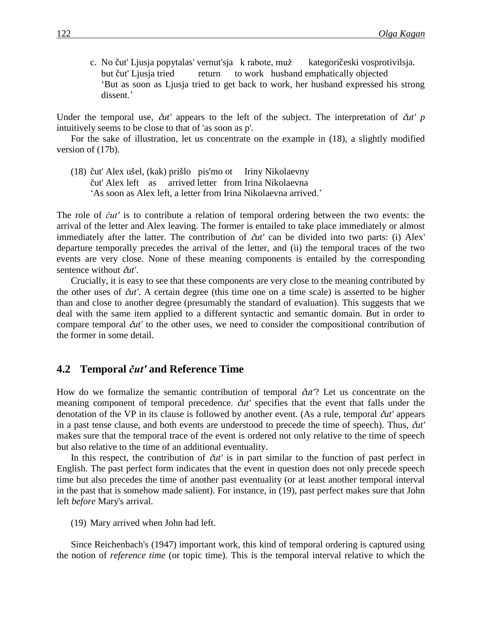c. No čut' Ljusja popytalas' vernut'sja k rabote, muž kategoričeski vosprotivilsja. but čut' Ljusja tried return to work husband emphatically objected 'But as soon as Ljusja tried to get back to work, her husband expressed his strong dissent.'

Under the temporal use, č*ut'* appears to the left of the subject. The interpretation of č*ut' p* intuitively seems to be close to that of 'as soon as p'.

For the sake of illustration, let us concentrate on the example in (18), a slightly modified version of (17b).

(18) čut' Alex ušel, (kak) prišlo pis'mo ot Iriny Nikolaevny čut' Alex left as arrived letter from Irina Nikolaevna 'As soon as Alex left, a letter from Irina Nikolaevna arrived.'

The role of *čut'* is to contribute a relation of temporal ordering between the two events: the arrival of the letter and Alex leaving. The former is entailed to take place immediately or almost immediately after the latter. The contribution of č*ut'* can be divided into two parts: (i) Alex' departure temporally precedes the arrival of the letter, and (ii) the temporal traces of the two events are very close. None of these meaning components is entailed by the corresponding sentence without č*ut'*.

Crucially, it is easy to see that these components are very close to the meaning contributed by the other uses of č*ut'*. A certain degree (this time one on a time scale) is asserted to be higher than and close to another degree (presumably the standard of evaluation). This suggests that we deal with the same item applied to a different syntactic and semantic domain. But in order to compare temporal č*ut'* to the other uses, we need to consider the compositional contribution of the former in some detail.

#### **4.2**xx**Temporal** *čut'* **and Reference Time**

How do we formalize the semantic contribution of temporal č*ut'*? Let us concentrate on the meaning component of temporal precedence. č*ut'* specifies that the event that falls under the denotation of the VP in its clause is followed by another event. (As a rule, temporal č*ut'* appears in a past tense clause, and both events are understood to precede the time of speech). Thus, č*ut'* makes sure that the temporal trace of the event is ordered not only relative to the time of speech but also relative to the time of an additional eventuality.

In this respect, the contribution of č*ut'* is in part similar to the function of past perfect in English. The past perfect form indicates that the event in question does not only precede speech time but also precedes the time of another past eventuality (or at least another temporal interval in the past that is somehow made salient). For instance, in (19), past perfect makes sure that John left *before* Mary's arrival.

(19) Mary arrived when John had left.

Since Reichenbach's (1947) important work, this kind of temporal ordering is captured using the notion of *reference time* (or topic time). This is the temporal interval relative to which the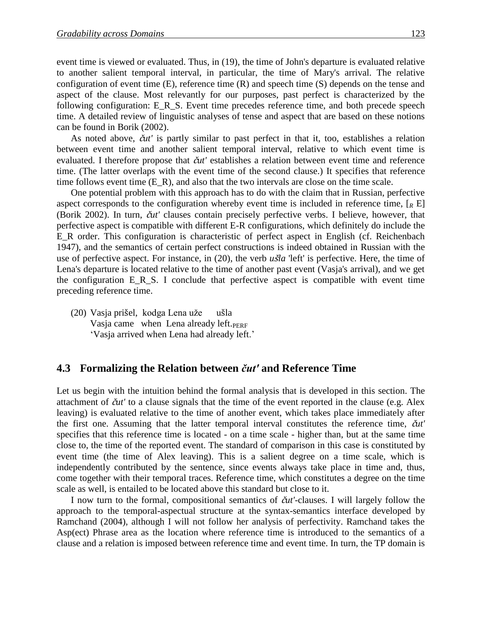event time is viewed or evaluated. Thus, in (19), the time of John's departure is evaluated relative to another salient temporal interval, in particular, the time of Mary's arrival. The relative configuration of event time (E), reference time (R) and speech time (S) depends on the tense and aspect of the clause. Most relevantly for our purposes, past perfect is characterized by the following configuration: E\_R\_S. Event time precedes reference time, and both precede speech time. A detailed review of linguistic analyses of tense and aspect that are based on these notions can be found in Borik (2002).

As noted above, č*ut'* is partly similar to past perfect in that it, too, establishes a relation between event time and another salient temporal interval, relative to which event time is evaluated. I therefore propose that č*ut'* establishes a relation between event time and reference time. (The latter overlaps with the event time of the second clause.) It specifies that reference time follows event time  $(E_R)$ , and also that the two intervals are close on the time scale.

One potential problem with this approach has to do with the claim that in Russian, perfective aspect corresponds to the configuration whereby event time is included in reference time,  $\lceil_{R} E \rceil$ (Borik 2002). In turn, č*ut'* clauses contain precisely perfective verbs. I believe, however, that perfective aspect is compatible with different E-R configurations, which definitely do include the E\_R order. This configuration is characteristic of perfect aspect in English (cf. Reichenbach 1947), and the semantics of certain perfect constructions is indeed obtained in Russian with the use of perfective aspect. For instance, in (20), the verb *u*š*la* 'left' is perfective. Here, the time of Lena's departure is located relative to the time of another past event (Vasja's arrival), and we get the configuration E\_R\_S. I conclude that perfective aspect is compatible with event time preceding reference time.

(20) Vasja prišel, kodga Lena uže ušla Vasja came when Lena already left.<sub>PERF</sub> 'Vasja arrived when Lena had already left.'

#### **4.3**xx**Formalizing the Relation between** *čut'* **and Reference Time**

Let us begin with the intuition behind the formal analysis that is developed in this section. The attachment of č*ut'* to a clause signals that the time of the event reported in the clause (e.g. Alex leaving) is evaluated relative to the time of another event, which takes place immediately after the first one. Assuming that the latter temporal interval constitutes the reference time, č*ut'* specifies that this reference time is located - on a time scale - higher than, but at the same time close to, the time of the reported event. The standard of comparison in this case is constituted by event time (the time of Alex leaving). This is a salient degree on a time scale, which is independently contributed by the sentence, since events always take place in time and, thus, come together with their temporal traces. Reference time, which constitutes a degree on the time scale as well, is entailed to be located above this standard but close to it.

I now turn to the formal, compositional semantics of č*ut'*-clauses. I will largely follow the approach to the temporal-aspectual structure at the syntax-semantics interface developed by Ramchand (2004), although I will not follow her analysis of perfectivity. Ramchand takes the Asp(ect) Phrase area as the location where reference time is introduced to the semantics of a clause and a relation is imposed between reference time and event time. In turn, the TP domain is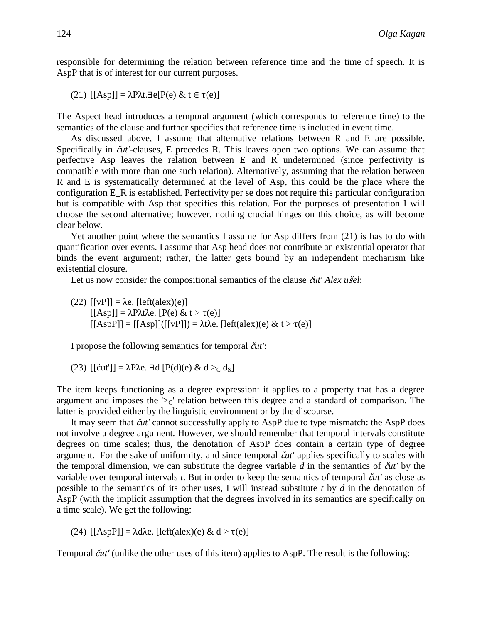responsible for determining the relation between reference time and the time of speech. It is AspP that is of interest for our current purposes.

(21) [[Asp]] = λPλt.∃e[P(e) & t ∈ τ(e)]

The Aspect head introduces a temporal argument (which corresponds to reference time) to the semantics of the clause and further specifies that reference time is included in event time.

As discussed above, I assume that alternative relations between R and E are possible. Specifically in č*ut'*-clauses, E precedes R. This leaves open two options. We can assume that perfective Asp leaves the relation between E and R undetermined (since perfectivity is compatible with more than one such relation). Alternatively, assuming that the relation between R and E is systematically determined at the level of Asp, this could be the place where the configuration E\_R is established. Perfectivity per se does not require this particular configuration but is compatible with Asp that specifies this relation. For the purposes of presentation I will choose the second alternative; however, nothing crucial hinges on this choice, as will become clear below.

Yet another point where the semantics I assume for Asp differs from (21) is has to do with quantification over events. I assume that Asp head does not contribute an existential operator that binds the event argument; rather, the latter gets bound by an independent mechanism like existential closure.

Let us now consider the compositional semantics of the clause č*ut' Alex u*š*el*:

(22)  $[ [vP] ] = \lambda e$ .  $[left(\text{alex})(e) ]$  $[[Asp]] = \lambda P \lambda t \lambda e$ .  $[P(e) & t > \tau(e)]$  $[[AspP]] = [[Asp]]([[vP]]) = \lambda t \lambda e. [left(ales)(e) & t > \tau(e)]$ 

I propose the following semantics for temporal č*ut'*:

(23)  $[[\text{čut}]] = \lambda P \lambda e$ . ∃d  $[P(d)(e) \& d >_C d_S]$ 

The item keeps functioning as a degree expression: it applies to a property that has a degree argument and imposes the ' $\geq$ c' relation between this degree and a standard of comparison. The latter is provided either by the linguistic environment or by the discourse.

It may seem that č*ut'* cannot successfully apply to AspP due to type mismatch: the AspP does not involve a degree argument. However, we should remember that temporal intervals constitute degrees on time scales; thus, the denotation of AspP does contain a certain type of degree argument. For the sake of uniformity, and since temporal č*ut'* applies specifically to scales with the temporal dimension, we can substitute the degree variable  $d$  in the semantics of  $\tilde{\alpha}u'$  by the variable over temporal intervals *t*. But in order to keep the semantics of temporal č*ut'* as close as possible to the semantics of its other uses, I will instead substitute *t* by *d* in the denotation of AspP (with the implicit assumption that the degrees involved in its semantics are specifically on a time scale). We get the following:

(24)  $[[AspP]] = \lambda d\lambda e$ .  $[left(ales)(e) & d > τ(e)]$ 

Temporal *čut'* (unlike the other uses of this item) applies to AspP. The result is the following: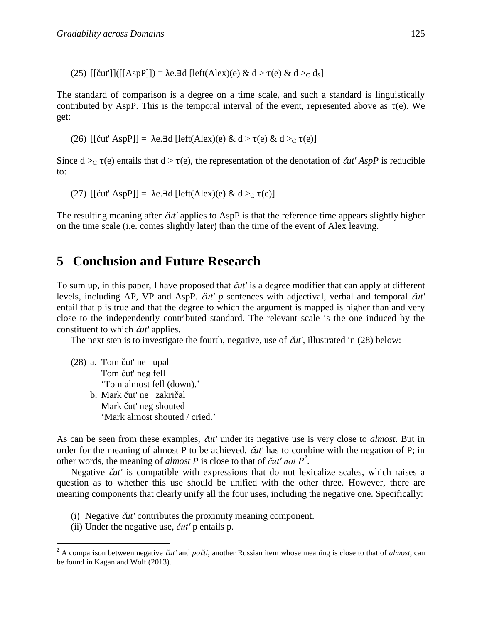(25)  $[(\text{But}']]([[\text{AspP}]]) = \lambda e \cdot \exists d \,[\text{left}(\text{Alex})(e) \& d > \tau(e) \& d >_C d_S]$ 

The standard of comparison is a degree on a time scale, and such a standard is linguistically contributed by AspP. This is the temporal interval of the event, represented above as  $\tau(e)$ . We get:

(26) [[čut' AspP]] = λe.∃d [left(Alex)(e) & d > τ(e) & d ><sup>C</sup> τ(e)]

Since  $d >_C \tau(e)$  entails that  $d > \tau(e)$ , the representation of the denotation of  $\tilde{c}ut'$  *AspP* is reducible to:

(27)  $\text{[[\text{cut'} AspP]]} = \lambda e \exists d \text{[[\text{eff}(Alex)(e) & d >_{\text{C}} \tau(e)]}$ 

The resulting meaning after č*ut'* applies to AspP is that the reference time appears slightly higher on the time scale (i.e. comes slightly later) than the time of the event of Alex leaving.

## **5**xx**Conclusion and Future Research**

To sum up, in this paper, I have proposed that č*ut'* is a degree modifier that can apply at different levels, including AP, VP and AspP. č*ut' p* sentences with adjectival, verbal and temporal č*ut'* entail that p is true and that the degree to which the argument is mapped is higher than and very close to the independently contributed standard. The relevant scale is the one induced by the constituent to which č*ut'* applies.

The next step is to investigate the fourth, negative, use of  $\check{c}ut'$ , illustrated in (28) below:

(28) a. Tom čut' ne upal Tom čut' neg fell 'Tom almost fell (down).' b. Mark čut' ne zakričal Mark čut' neg shouted 'Mark almost shouted / cried.'

As can be seen from these examples, č*ut'* under its negative use is very close to *almost*. But in order for the meaning of almost P to be achieved, č*ut'* has to combine with the negation of P; in other words, the meaning of *almost P* is close to that of *čut' not P<sup>2</sup>* .

Negative č*ut'* is compatible with expressions that do not lexicalize scales, which raises a question as to whether this use should be unified with the other three. However, there are meaning components that clearly unify all the four uses, including the negative one. Specifically:

- (i) Negative č*ut'* contributes the proximity meaning component.
- (ii) Under the negative use, *čut'* p entails p.

 $\overline{a}$ 

<sup>&</sup>lt;sup>2</sup> A comparison between negative  $\check{c}ut'$  and  $po\check{c}ti$ , another Russian item whose meaning is close to that of *almost*, can be found in Kagan and Wolf (2013).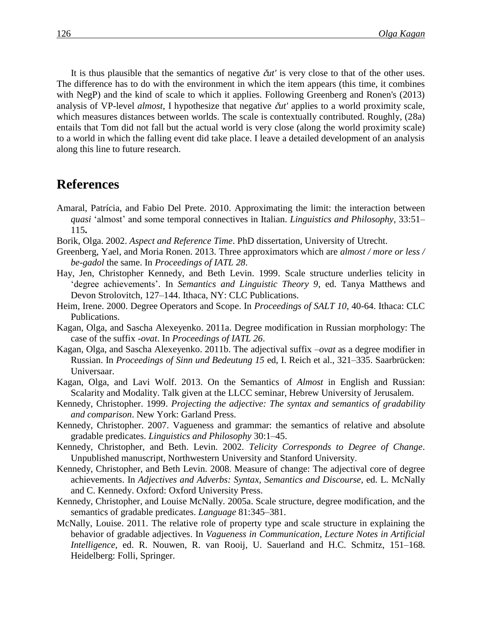It is thus plausible that the semantics of negative č*ut'* is very close to that of the other uses. The difference has to do with the environment in which the item appears (this time, it combines with NegP) and the kind of scale to which it applies. Following Greenberg and Ronen's (2013) analysis of VP-level *almost*, I hypothesize that negative č*ut'* applies to a world proximity scale, which measures distances between worlds. The scale is contextually contributed. Roughly, (28a) entails that Tom did not fall but the actual world is very close (along the world proximity scale) to a world in which the falling event did take place. I leave a detailed development of an analysis along this line to future research.

### **References**

- Amaral, Patrícia, and Fabio Del Prete. 2010. Approximating the limit: the interaction between *quasi* 'almost' and some temporal connectives in Italian. *Linguistics and Philosophy*, 33:51– 115**.**
- Borik, Olga. 2002. *Aspect and Reference Time*. PhD dissertation, University of Utrecht.
- Greenberg, Yael, and Moria Ronen. 2013. Three approximators which are *almost / more or less / be-gadol* the same. In *Proceedings of IATL 28*.
- Hay, Jen, Christopher Kennedy, and Beth Levin. 1999. Scale structure underlies telicity in 'degree achievements'. In *Semantics and Linguistic Theory 9*, ed. Tanya Matthews and Devon Strolovitch, 127–144. Ithaca, NY: CLC Publications.
- Heim, Irene. 2000. Degree Operators and Scope. In *Proceedings of SALT 10*, 40-64. Ithaca: CLC Publications.
- Kagan, Olga, and Sascha Alexeyenko. 2011a. Degree modification in Russian morphology: The case of the suffix *-ovat*. In *Proceedings of IATL 26*.
- Kagan, Olga, and Sascha Alexeyenko. 2011b. The adjectival suffix –*ovat* as a degree modifier in Russian. In *Proceedings of Sinn und Bedeutung 15* ed, I. Reich et al., 321–335. Saarbrücken: Universaar.
- Kagan, Olga, and Lavi Wolf. 2013. On the Semantics of *Almost* in English and Russian: Scalarity and Modality. Talk given at the LLCC seminar, Hebrew University of Jerusalem.
- Kennedy, Christopher. 1999. *Projecting the adjective: The syntax and semantics of gradability and comparison*. New York: Garland Press.
- Kennedy, Christopher. 2007. Vagueness and grammar: the semantics of relative and absolute gradable predicates. *Linguistics and Philosophy* 30:1–45.
- Kennedy, Christopher, and Beth. Levin. 2002. *Telicity Corresponds to Degree of Change*. Unpublished manuscript, Northwestern University and Stanford University.
- Kennedy, Christopher, and Beth Levin. 2008. Measure of change: The adjectival core of degree achievements. In *Adjectives and Adverbs: Syntax, Semantics and Discourse*, ed. L. McNally and C. Kennedy. Oxford: Oxford University Press.
- Kennedy, Christopher, and Louise McNally. 2005a. Scale structure, degree modification, and the semantics of gradable predicates. *Language* 81:345–381.
- McNally, Louise. 2011. The relative role of property type and scale structure in explaining the behavior of gradable adjectives. In *Vagueness in Communication, Lecture Notes in Artificial Intelligence*, ed. R. Nouwen, R. van Rooij, U. Sauerland and H.C. Schmitz, 151–168. Heidelberg: Folli, Springer.